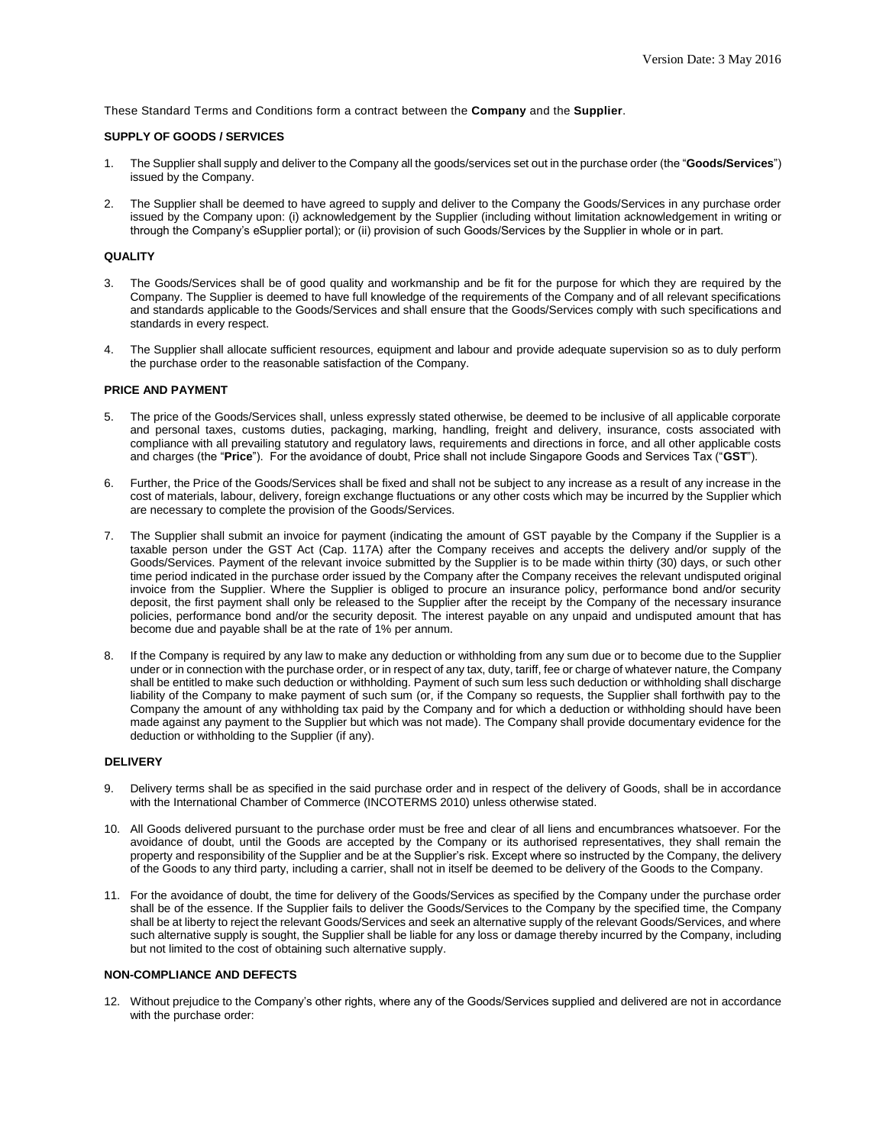These Standard Terms and Conditions form a contract between the **Company** and the **Supplier**.

# **SUPPLY OF GOODS / SERVICES**

- 1. The Supplier shall supply and deliver to the Company all the goods/services set out in the purchase order (the "**Goods/Services**") issued by the Company.
- 2. The Supplier shall be deemed to have agreed to supply and deliver to the Company the Goods/Services in any purchase order issued by the Company upon: (i) acknowledgement by the Supplier (including without limitation acknowledgement in writing or through the Company's eSupplier portal); or (ii) provision of such Goods/Services by the Supplier in whole or in part.

#### **QUALITY**

- 3. The Goods/Services shall be of good quality and workmanship and be fit for the purpose for which they are required by the Company. The Supplier is deemed to have full knowledge of the requirements of the Company and of all relevant specifications and standards applicable to the Goods/Services and shall ensure that the Goods/Services comply with such specifications and standards in every respect.
- 4. The Supplier shall allocate sufficient resources, equipment and labour and provide adequate supervision so as to duly perform the purchase order to the reasonable satisfaction of the Company.

# **PRICE AND PAYMENT**

- 5. The price of the Goods/Services shall, unless expressly stated otherwise, be deemed to be inclusive of all applicable corporate and personal taxes, customs duties, packaging, marking, handling, freight and delivery, insurance, costs associated with compliance with all prevailing statutory and regulatory laws, requirements and directions in force, and all other applicable costs and charges (the "**Price**"). For the avoidance of doubt, Price shall not include Singapore Goods and Services Tax ("**GST**").
- 6. Further, the Price of the Goods/Services shall be fixed and shall not be subject to any increase as a result of any increase in the cost of materials, labour, delivery, foreign exchange fluctuations or any other costs which may be incurred by the Supplier which are necessary to complete the provision of the Goods/Services.
- 7. The Supplier shall submit an invoice for payment (indicating the amount of GST payable by the Company if the Supplier is a taxable person under the GST Act (Cap. 117A) after the Company receives and accepts the delivery and/or supply of the Goods/Services. Payment of the relevant invoice submitted by the Supplier is to be made within thirty (30) days, or such other time period indicated in the purchase order issued by the Company after the Company receives the relevant undisputed original invoice from the Supplier. Where the Supplier is obliged to procure an insurance policy, performance bond and/or security deposit, the first payment shall only be released to the Supplier after the receipt by the Company of the necessary insurance policies, performance bond and/or the security deposit. The interest payable on any unpaid and undisputed amount that has become due and payable shall be at the rate of 1% per annum.
- If the Company is required by any law to make any deduction or withholding from any sum due or to become due to the Supplier under or in connection with the purchase order, or in respect of any tax, duty, tariff, fee or charge of whatever nature, the Company shall be entitled to make such deduction or withholding. Payment of such sum less such deduction or withholding shall discharge liability of the Company to make payment of such sum (or, if the Company so requests, the Supplier shall forthwith pay to the Company the amount of any withholding tax paid by the Company and for which a deduction or withholding should have been made against any payment to the Supplier but which was not made). The Company shall provide documentary evidence for the deduction or withholding to the Supplier (if any).

# **DELIVERY**

- 9. Delivery terms shall be as specified in the said purchase order and in respect of the delivery of Goods, shall be in accordance with the International Chamber of Commerce (INCOTERMS 2010) unless otherwise stated.
- 10. All Goods delivered pursuant to the purchase order must be free and clear of all liens and encumbrances whatsoever. For the avoidance of doubt, until the Goods are accepted by the Company or its authorised representatives, they shall remain the property and responsibility of the Supplier and be at the Supplier's risk. Except where so instructed by the Company, the delivery of the Goods to any third party, including a carrier, shall not in itself be deemed to be delivery of the Goods to the Company.
- 11. For the avoidance of doubt, the time for delivery of the Goods/Services as specified by the Company under the purchase order shall be of the essence. If the Supplier fails to deliver the Goods/Services to the Company by the specified time, the Company shall be at liberty to reject the relevant Goods/Services and seek an alternative supply of the relevant Goods/Services, and where such alternative supply is sought, the Supplier shall be liable for any loss or damage thereby incurred by the Company, including but not limited to the cost of obtaining such alternative supply.

## **NON-COMPLIANCE AND DEFECTS**

12. Without prejudice to the Company's other rights, where any of the Goods/Services supplied and delivered are not in accordance with the purchase order: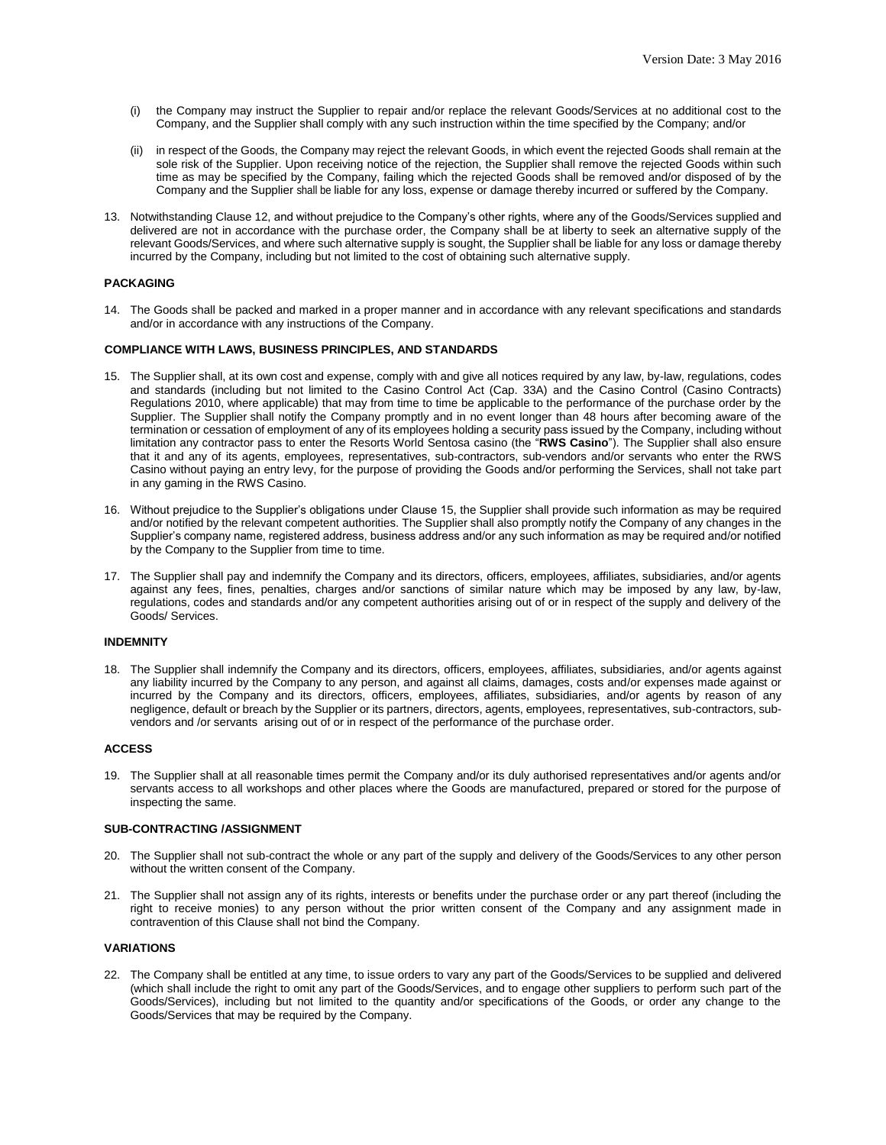- (i) the Company may instruct the Supplier to repair and/or replace the relevant Goods/Services at no additional cost to the Company, and the Supplier shall comply with any such instruction within the time specified by the Company; and/or
- (ii) in respect of the Goods, the Company may reject the relevant Goods, in which event the rejected Goods shall remain at the sole risk of the Supplier. Upon receiving notice of the rejection, the Supplier shall remove the rejected Goods within such time as may be specified by the Company, failing which the rejected Goods shall be removed and/or disposed of by the Company and the Supplier shall be liable for any loss, expense or damage thereby incurred or suffered by the Company.
- 13. Notwithstanding Clause 12, and without prejudice to the Company's other rights, where any of the Goods/Services supplied and delivered are not in accordance with the purchase order, the Company shall be at liberty to seek an alternative supply of the relevant Goods/Services, and where such alternative supply is sought, the Supplier shall be liable for any loss or damage thereby incurred by the Company, including but not limited to the cost of obtaining such alternative supply.

# **PACKAGING**

14. The Goods shall be packed and marked in a proper manner and in accordance with any relevant specifications and standards and/or in accordance with any instructions of the Company.

# **COMPLIANCE WITH LAWS, BUSINESS PRINCIPLES, AND STANDARDS**

- 15. The Supplier shall, at its own cost and expense, comply with and give all notices required by any law, by-law, regulations, codes and standards (including but not limited to the Casino Control Act (Cap. 33A) and the Casino Control (Casino Contracts) Regulations 2010, where applicable) that may from time to time be applicable to the performance of the purchase order by the Supplier. The Supplier shall notify the Company promptly and in no event longer than 48 hours after becoming aware of the termination or cessation of employment of any of its employees holding a security pass issued by the Company, including without limitation any contractor pass to enter the Resorts World Sentosa casino (the "**RWS Casino**"). The Supplier shall also ensure that it and any of its agents, employees, representatives, sub-contractors, sub-vendors and/or servants who enter the RWS Casino without paying an entry levy, for the purpose of providing the Goods and/or performing the Services, shall not take part in any gaming in the RWS Casino.
- 16. Without prejudice to the Supplier's obligations under Clause 15, the Supplier shall provide such information as may be required and/or notified by the relevant competent authorities. The Supplier shall also promptly notify the Company of any changes in the Supplier's company name, registered address, business address and/or any such information as may be required and/or notified by the Company to the Supplier from time to time.
- 17. The Supplier shall pay and indemnify the Company and its directors, officers, employees, affiliates, subsidiaries, and/or agents against any fees, fines, penalties, charges and/or sanctions of similar nature which may be imposed by any law, by-law, regulations, codes and standards and/or any competent authorities arising out of or in respect of the supply and delivery of the Goods/ Services.

# **INDEMNITY**

18. The Supplier shall indemnify the Company and its directors, officers, employees, affiliates, subsidiaries, and/or agents against any liability incurred by the Company to any person, and against all claims, damages, costs and/or expenses made against or incurred by the Company and its directors, officers, employees, affiliates, subsidiaries, and/or agents by reason of any negligence, default or breach by the Supplier or its partners, directors, agents, employees, representatives, sub-contractors, subvendors and /or servants arising out of or in respect of the performance of the purchase order.

# **ACCESS**

19. The Supplier shall at all reasonable times permit the Company and/or its duly authorised representatives and/or agents and/or servants access to all workshops and other places where the Goods are manufactured, prepared or stored for the purpose of inspecting the same.

## **SUB-CONTRACTING /ASSIGNMENT**

- 20. The Supplier shall not sub-contract the whole or any part of the supply and delivery of the Goods/Services to any other person without the written consent of the Company.
- 21. The Supplier shall not assign any of its rights, interests or benefits under the purchase order or any part thereof (including the right to receive monies) to any person without the prior written consent of the Company and any assignment made in contravention of this Clause shall not bind the Company.

## **VARIATIONS**

22. The Company shall be entitled at any time, to issue orders to vary any part of the Goods/Services to be supplied and delivered (which shall include the right to omit any part of the Goods/Services, and to engage other suppliers to perform such part of the Goods/Services), including but not limited to the quantity and/or specifications of the Goods, or order any change to the Goods/Services that may be required by the Company.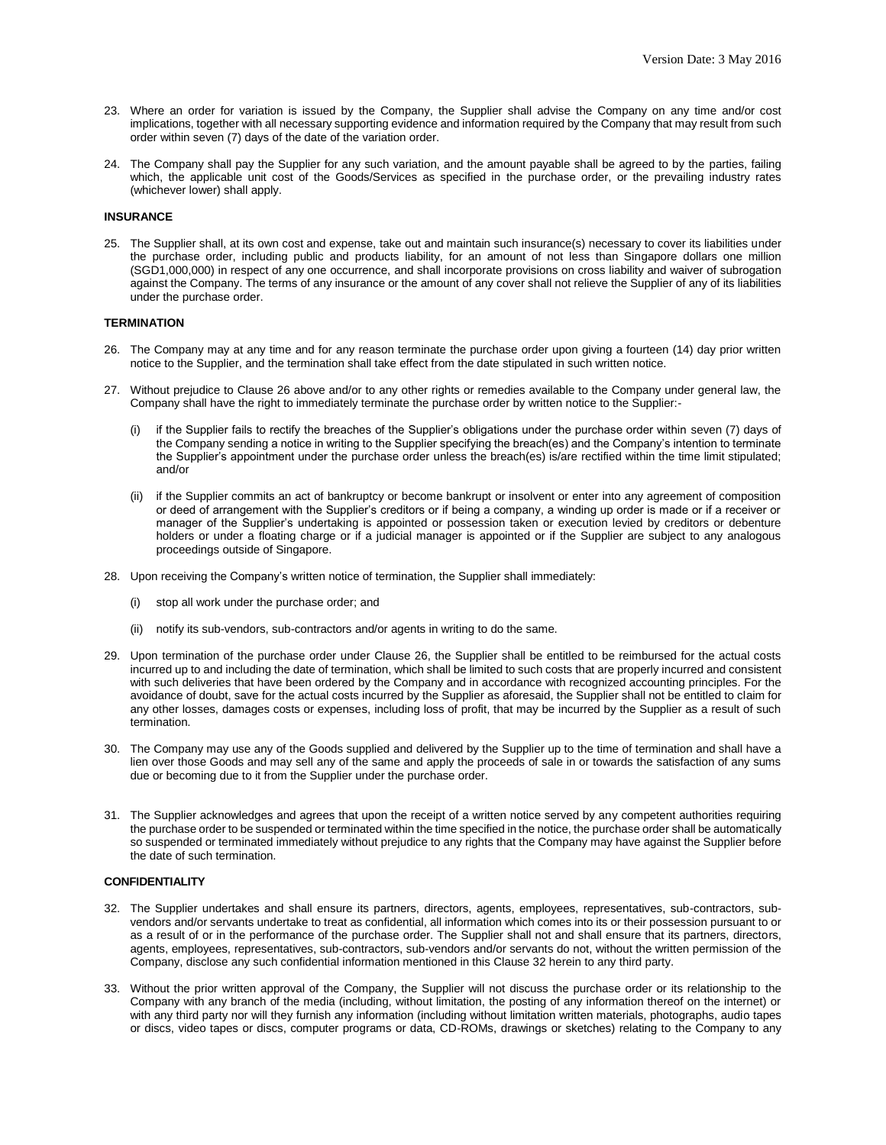- 23. Where an order for variation is issued by the Company, the Supplier shall advise the Company on any time and/or cost implications, together with all necessary supporting evidence and information required by the Company that may result from such order within seven (7) days of the date of the variation order.
- 24. The Company shall pay the Supplier for any such variation, and the amount payable shall be agreed to by the parties, failing which, the applicable unit cost of the Goods/Services as specified in the purchase order, or the prevailing industry rates (whichever lower) shall apply.

### **INSURANCE**

25. The Supplier shall, at its own cost and expense, take out and maintain such insurance(s) necessary to cover its liabilities under the purchase order, including public and products liability, for an amount of not less than Singapore dollars one million (SGD1,000,000) in respect of any one occurrence, and shall incorporate provisions on cross liability and waiver of subrogation against the Company. The terms of any insurance or the amount of any cover shall not relieve the Supplier of any of its liabilities under the purchase order.

#### **TERMINATION**

- 26. The Company may at any time and for any reason terminate the purchase order upon giving a fourteen (14) day prior written notice to the Supplier, and the termination shall take effect from the date stipulated in such written notice.
- 27. Without prejudice to Clause 26 above and/or to any other rights or remedies available to the Company under general law, the Company shall have the right to immediately terminate the purchase order by written notice to the Supplier:-
	- (i) if the Supplier fails to rectify the breaches of the Supplier's obligations under the purchase order within seven (7) days of the Company sending a notice in writing to the Supplier specifying the breach(es) and the Company's intention to terminate the Supplier's appointment under the purchase order unless the breach(es) is/are rectified within the time limit stipulated; and/or
	- (ii) if the Supplier commits an act of bankruptcy or become bankrupt or insolvent or enter into any agreement of composition or deed of arrangement with the Supplier's creditors or if being a company, a winding up order is made or if a receiver or manager of the Supplier's undertaking is appointed or possession taken or execution levied by creditors or debenture holders or under a floating charge or if a judicial manager is appointed or if the Supplier are subject to any analogous proceedings outside of Singapore.
- 28. Upon receiving the Company's written notice of termination, the Supplier shall immediately:
	- (i) stop all work under the purchase order; and
	- (ii) notify its sub-vendors, sub-contractors and/or agents in writing to do the same.
- 29. Upon termination of the purchase order under Clause 26, the Supplier shall be entitled to be reimbursed for the actual costs incurred up to and including the date of termination, which shall be limited to such costs that are properly incurred and consistent with such deliveries that have been ordered by the Company and in accordance with recognized accounting principles. For the avoidance of doubt, save for the actual costs incurred by the Supplier as aforesaid, the Supplier shall not be entitled to claim for any other losses, damages costs or expenses, including loss of profit, that may be incurred by the Supplier as a result of such termination.
- 30. The Company may use any of the Goods supplied and delivered by the Supplier up to the time of termination and shall have a lien over those Goods and may sell any of the same and apply the proceeds of sale in or towards the satisfaction of any sums due or becoming due to it from the Supplier under the purchase order.
- 31. The Supplier acknowledges and agrees that upon the receipt of a written notice served by any competent authorities requiring the purchase order to be suspended or terminated within the time specified in the notice, the purchase order shall be automatically so suspended or terminated immediately without prejudice to any rights that the Company may have against the Supplier before the date of such termination.

#### **CONFIDENTIALITY**

- 32. The Supplier undertakes and shall ensure its partners, directors, agents, employees, representatives, sub-contractors, subvendors and/or servants undertake to treat as confidential, all information which comes into its or their possession pursuant to or as a result of or in the performance of the purchase order. The Supplier shall not and shall ensure that its partners, directors, agents, employees, representatives, sub-contractors, sub-vendors and/or servants do not, without the written permission of the Company, disclose any such confidential information mentioned in this Clause 32 herein to any third party.
- 33. Without the prior written approval of the Company, the Supplier will not discuss the purchase order or its relationship to the Company with any branch of the media (including, without limitation, the posting of any information thereof on the internet) or with any third party nor will they furnish any information (including without limitation written materials, photographs, audio tapes or discs, video tapes or discs, computer programs or data, CD-ROMs, drawings or sketches) relating to the Company to any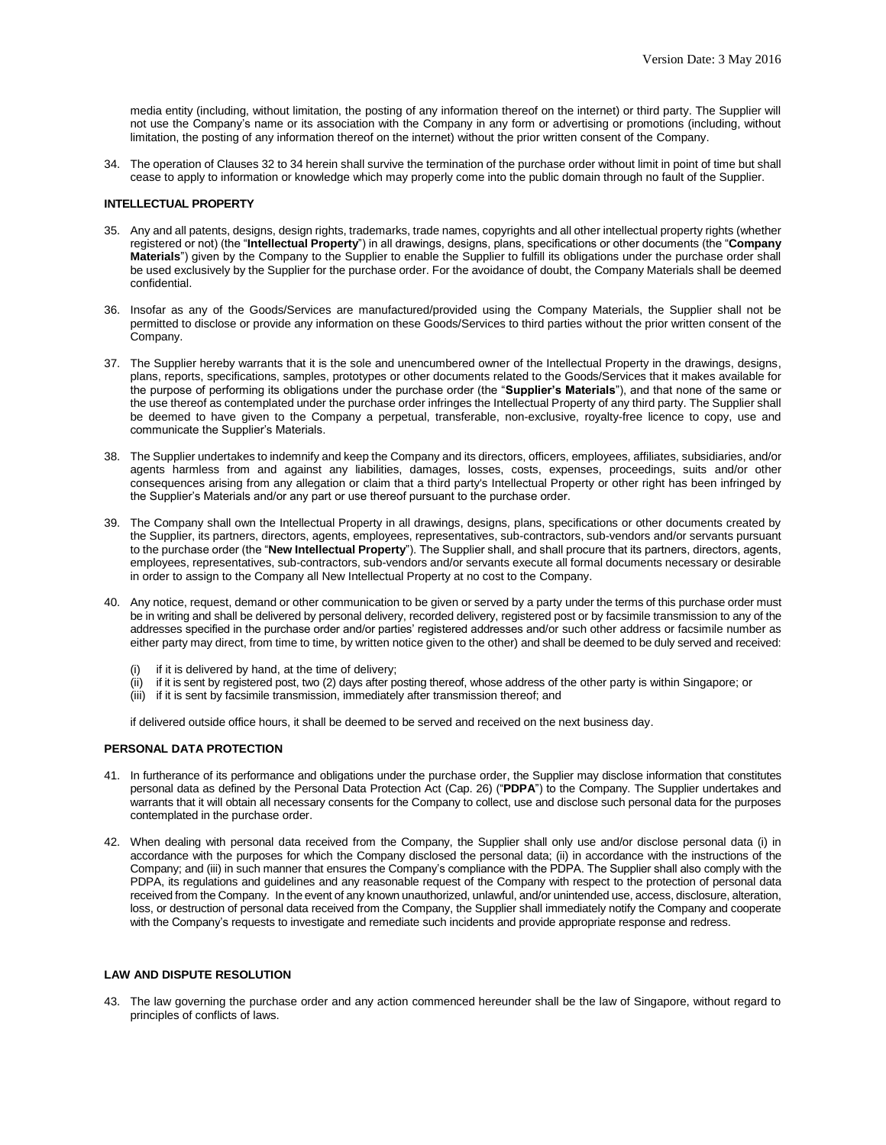media entity (including, without limitation, the posting of any information thereof on the internet) or third party. The Supplier will not use the Company's name or its association with the Company in any form or advertising or promotions (including, without limitation, the posting of any information thereof on the internet) without the prior written consent of the Company.

34. The operation of Clauses 32 to 34 herein shall survive the termination of the purchase order without limit in point of time but shall cease to apply to information or knowledge which may properly come into the public domain through no fault of the Supplier.

#### **INTELLECTUAL PROPERTY**

- 35. Any and all patents, designs, design rights, trademarks, trade names, copyrights and all other intellectual property rights (whether registered or not) (the "**Intellectual Property**") in all drawings, designs, plans, specifications or other documents (the "**Company Materials**") given by the Company to the Supplier to enable the Supplier to fulfill its obligations under the purchase order shall be used exclusively by the Supplier for the purchase order. For the avoidance of doubt, the Company Materials shall be deemed confidential.
- 36. Insofar as any of the Goods/Services are manufactured/provided using the Company Materials, the Supplier shall not be permitted to disclose or provide any information on these Goods/Services to third parties without the prior written consent of the Company.
- 37. The Supplier hereby warrants that it is the sole and unencumbered owner of the Intellectual Property in the drawings, designs, plans, reports, specifications, samples, prototypes or other documents related to the Goods/Services that it makes available for the purpose of performing its obligations under the purchase order (the "**Supplier's Materials**"), and that none of the same or the use thereof as contemplated under the purchase order infringes the Intellectual Property of any third party. The Supplier shall be deemed to have given to the Company a perpetual, transferable, non-exclusive, royalty-free licence to copy, use and communicate the Supplier's Materials.
- 38. The Supplier undertakes to indemnify and keep the Company and its directors, officers, employees, affiliates, subsidiaries, and/or agents harmless from and against any liabilities, damages, losses, costs, expenses, proceedings, suits and/or other consequences arising from any allegation or claim that a third party's Intellectual Property or other right has been infringed by the Supplier's Materials and/or any part or use thereof pursuant to the purchase order.
- 39. The Company shall own the Intellectual Property in all drawings, designs, plans, specifications or other documents created by the Supplier, its partners, directors, agents, employees, representatives, sub-contractors, sub-vendors and/or servants pursuant to the purchase order (the "**New Intellectual Property**"). The Supplier shall, and shall procure that its partners, directors, agents, employees, representatives, sub-contractors, sub-vendors and/or servants execute all formal documents necessary or desirable in order to assign to the Company all New Intellectual Property at no cost to the Company.
- 40. Any notice, request, demand or other communication to be given or served by a party under the terms of this purchase order must be in writing and shall be delivered by personal delivery, recorded delivery, registered post or by facsimile transmission to any of the addresses specified in the purchase order and/or parties' registered addresses and/or such other address or facsimile number as either party may direct, from time to time, by written notice given to the other) and shall be deemed to be duly served and received:
	- (i) if it is delivered by hand, at the time of delivery;
	- (ii) if it is sent by registered post, two (2) days after posting thereof, whose address of the other party is within Singapore; or
	- (iii) if it is sent by facsimile transmission, immediately after transmission thereof; and

if delivered outside office hours, it shall be deemed to be served and received on the next business day.

# **PERSONAL DATA PROTECTION**

- 41. In furtherance of its performance and obligations under the purchase order, the Supplier may disclose information that constitutes personal data as defined by the Personal Data Protection Act (Cap. 26) ("**PDPA**") to the Company. The Supplier undertakes and warrants that it will obtain all necessary consents for the Company to collect, use and disclose such personal data for the purposes contemplated in the purchase order.
- 42. When dealing with personal data received from the Company, the Supplier shall only use and/or disclose personal data (i) in accordance with the purposes for which the Company disclosed the personal data; (ii) in accordance with the instructions of the Company; and (iii) in such manner that ensures the Company's compliance with the PDPA. The Supplier shall also comply with the PDPA, its regulations and guidelines and any reasonable request of the Company with respect to the protection of personal data received from the Company. In the event of any known unauthorized, unlawful, and/or unintended use, access, disclosure, alteration, loss, or destruction of personal data received from the Company, the Supplier shall immediately notify the Company and cooperate with the Company's requests to investigate and remediate such incidents and provide appropriate response and redress.

## **LAW AND DISPUTE RESOLUTION**

43. The law governing the purchase order and any action commenced hereunder shall be the law of Singapore, without regard to principles of conflicts of laws.